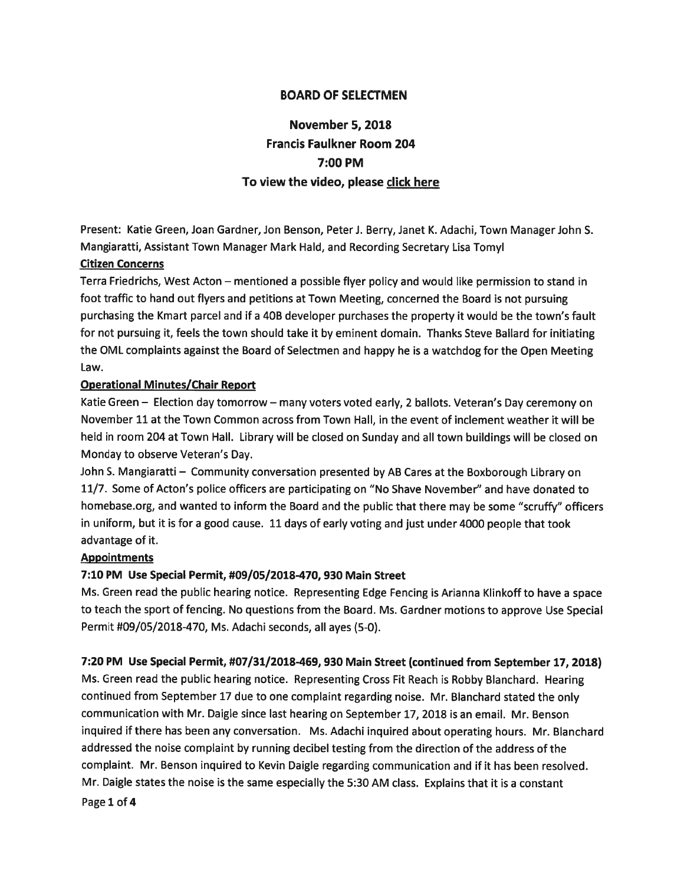## BOARD OF SELECTMEN

# November 5, 2018 Francis Faulkner Room 204 7:00 PM To view the video, please click here

Present: Katie Green, Joan Gardner, Jon Benson, Peter J. Berry, Janet K. Adachi, Town Manager John S. Mangiaratti, Assistant Town Manager Mark Hald, and Recording Secretary Lisa Tomyl

## Citizen Concerns

Terra Friedrichs, West Acton — mentioned <sup>a</sup> possible flyer policy and would like permission to stand in foot traffic to hand out flyers and petitions at Town Meeting, concerned the Board is not pursuing purchasing the Kmart parcel and if <sup>a</sup> 40B developer purchases the property it would be the town's fault for not pursuing it, feels the town should take it by eminent domain. Thanks Steve Ballard for initiating the OML complaints against the Board of Selectmen and happy he is <sup>a</sup> watchdog for the Open Meeting Law.

## Operational Minutes/Chair Report

Katie Green — Election day tomorrow — many voters voted early, <sup>2</sup> ballots. Veteran's Day ceremony on November 11 at the Town Common across from Town Hall, in the event of inclement weather it will be held in room 204 at Town Hall. Library will be closed on Sunday and all town buildings will be closed on Monday to observe Veteran's Day.

John S. Mangiaratti — Community conversation presented by AB Cares at the Boxborough Library on 11/7. Some of Acton's police officers are participating on "No Shave November" and have donated to homebase.org, and wanted to inform the Board and the public that there may be some "scruffy" officers in uniform, but it is for <sup>a</sup> good cause. <sup>11</sup> days of early voting and just under <sup>4000</sup> people that took advantage of it.

#### Appointments

# 7:10 PM Use Special Permit, #09/05/2018-470, 930 Main Street

Ms. Green read the public hearing notice. Representing Edge Fencing is Arianna Klinkoff to have <sup>a</sup> space to teach the spor<sup>t</sup> of fencing. No questions from the Board. Ms. Gardner motions to approve Use Special Permit #09/05/2018-470, Ms. Adachi seconds, all ayes (5-0).

# 7:20 PM Use Special Permit, #07/31/2018-469, 930 Main Street (continued from September 17, 2018)

Ms. Green read the public hearing notice. Representing Cross Fit Reach is Robby Blanchard. Hearing continued from September <sup>17</sup> due to one complaint regarding noise. Mr. Blanchard stated the only communication with Mr. Daigle since last hearing on September 17, 2018 is an email. Mr. Benson inquired if there has been any conversation. Ms. Adachi inquired about operating hours. Mr. Blanchard addressed the noise complaint by running decibel testing from the direction of the address of the complaint. Mr. Benson inquired to Kevin Daigle regarding communication and if it has been resolved. Mr. Daigle states the noise is the same especially the 5:30 AM class. Explains that it is <sup>a</sup> constant Page 1 of 4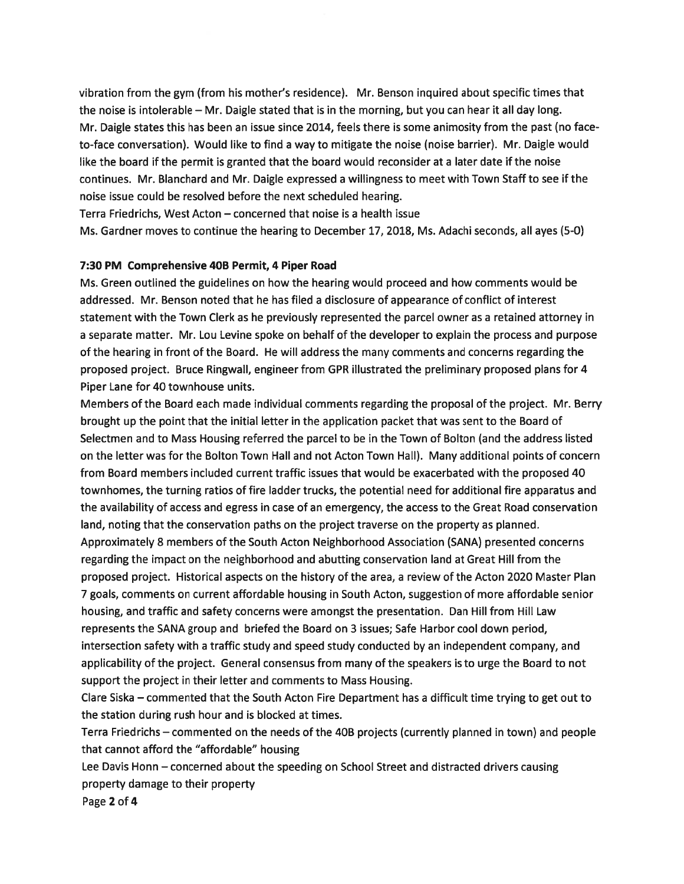vibration from the gym (from his mother's residence). Mr. Benson inquired about specific times that the noise is intolerable — Mr. Daigle stated that is in the morning, but you can hear it all day long. Mr. Daigle states this has been an issue since 2014, feels there is some animosity from the pas<sup>t</sup> (no faceto-face conversation). Would like to find <sup>a</sup> way to mitigate the noise (noise barrier). Mr. Daigle would like the board if the permit is granted that the board would reconsider at <sup>a</sup> later date if the noise continues. Mr. Blanchard and Mr. Daigle expressed <sup>a</sup> willingness to meet with Town Staff to see if the noise issue could be resolved before the next scheduled hearing.

Terra Friedrichs, West Acton — concerned that noise is <sup>a</sup> health issue

Ms. Gardner moves to continue the hearing to December 17, 2018, Ms. Adachi seconds, all ayes (5-0)

#### 7:30 PM Comprehensive 40B Permit, 4 Piper Road

Ms. Green outlined the guidelines on how the hearing would proceed and how comments would be addressed. Mr. Benson noted that he has filed <sup>a</sup> disclosure of appearance of conflict of interest statement with the Town Clerk as he previously represented the parcel owner as <sup>a</sup> retained attorney in <sup>a</sup> separate matter. Mr. Lou Levine spoke on behalf of the developer to explain the process and purpose of the hearing in front of the Board. He will address the many comments and concerns regarding the proposed project. Bruce Ringwall, engineer from GPR illustrated the preliminary proposed plans for 4 Piper Lane for 40 townhouse units.

Members of the Board each made individual comments regarding the proposal of the project. Mr. Berry brought up the point that the initial letter in the application packet that was sent to the Board of Selectmen and to Mass Housing referred the parcel to be in the Town of Bolton (and the address listed on the letter was for the Bolton Town Hall and not Acton Town Hall). Many additional points of concern from Board members included current traffic issues that would be exacerbated with the proposed 40 townhomes, the turning ratios of fire ladder trucks, the potential need for additional fire apparatus and the availability of access and egress in case of an emergency, the access to the Great Road conservation land, noting that the conservation paths on the project traverse on the property as planned. Approximately 8 members of the South Acton Neighborhood Association (SANA) presented concerns regarding the impact on the neighborhood and abutting conservation land at Great Hill from the proposed project. Historical aspects on the history of the area, <sup>a</sup> review of the Acton 2020 Master Plan 7 goals, comments on current affordable housing in South Acton, suggestion of more affordable senior housing, and traffic and safety concerns were amongs<sup>t</sup> the presentation. Dan Hill from Hill Law represents the SANA group and briefed the Board on 3 issues; Safe Harbor cool down period, intersection safety with <sup>a</sup> traffic study and speed study conducted by an independent company, and applicability of the project. General consensus from many of the speakers is to urge the Board to not suppor<sup>t</sup> the project in their letter and comments to Mass Housing.

Clare Siska — commented that the South Acton Fire Department has <sup>a</sup> difficult time trying to ge<sup>t</sup> out to the station during rush hour and is blocked at times.

Terra Friedrichs — commented on the needs of the 40B projects (currently planned in town) and people that cannot afford the "affordable" housing

Lee Davis Honn — concerned about the speeding on School Street and distracted drivers causing property damage to their property

Page 2 of 4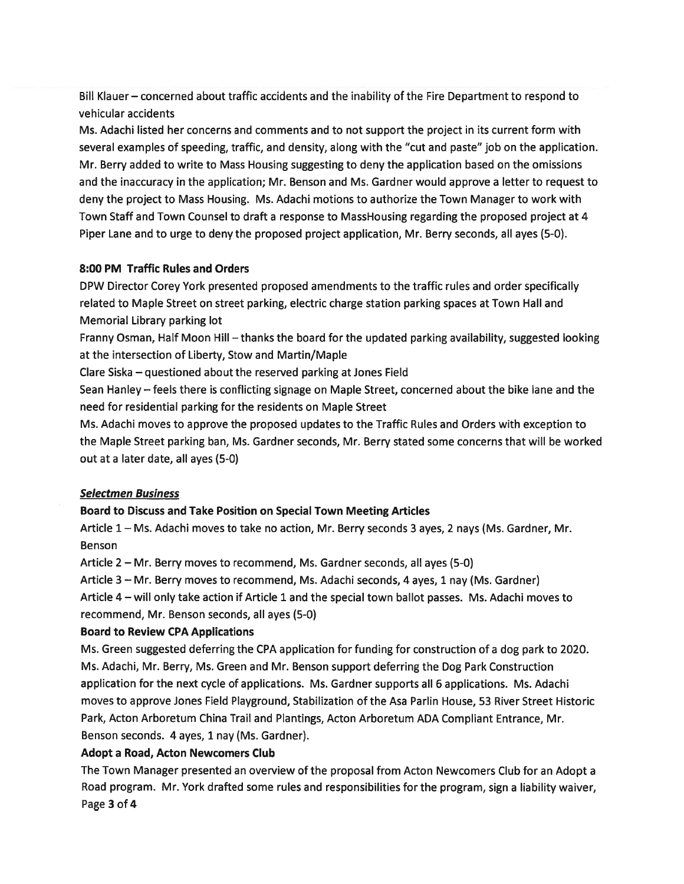Bill Klauer — concerned about traffic accidents and the inability of the Fire Department to respond to vehicular accidents

Ms. Adachi listed her concerns and comments and to not suppor<sup>t</sup> the project in its current form with several examples of speeding, traffic, and density, along with the "cut and paste" job on the application. Mr. Berry added to write to Mass Housing suggesting to deny the application based on the omissions and the inaccuracy in the application; Mr. Benson and Ms. Gardner would approve <sup>a</sup> letter to reques<sup>t</sup> to deny the project to Mass Housing. Ms. Adachi motions to authorize the Town Manager to work with Town Staff and Town Counsel to draft <sup>a</sup> response to MassHousing regarding the proposed project at 4 Piper Lane and to urge to deny the proposed project application, Mr. Berry seconds, all ayes (5-0).

#### 8:00 PM Traffic Rules and Orders

DPW Director Corey York presented proposed amendments to the traffic rules and order specifically related to Maple Street on street parking, electric charge station parking spaces at Town Hall and Memorial Library parking lot

Franny Osman, Half Moon Hill — thanks the board for the updated parking availability, suggested looking at the intersection of Liberty, Stow and Martin/Maple

Clare Siska — questioned about the reserved parking at Jones Field

Sean Hanley — feels there is conflicting signage on Maple Street, concerned about the bike lane and the need for residential parking for the residents on Maple Street

Ms. Adachi moves to approve the proposed updates to the Traffic Rules and Orders with exception to the Maple Street parking ban, Ms. Gardner seconds, Mr. Berry stated some concerns that will be worked out at <sup>a</sup> later date, all ayes (5-0)

# Selectmen Business

# Board to Discuss and Take Position on Special Town Meeting Articles

Article 1 — Ms. Adachi moves to take no action, Mr. Berry seconds 3 ayes, 2 nays (Ms. Gardner, Mr. Benson

Article 2 — Mr. Berry moves to recommend, Ms. Gardner seconds, all ayes (5-0)

Article 3 — Mr. Berry moves to recommend, Ms. Adachi seconds, 4 ayes, 1 nay (Ms. Gardner) Article 4 — will only take action if Article 1 and the special town ballot passes. Ms. Adachi moves to recommend, Mr. Benson seconds, all ayes (5-0)

#### Board to Review CPA Applications

Ms. Green suggested deferring the CPA application for funding for construction of <sup>a</sup> dog park to 2020. Ms. Adachi, Mr. Berry, Ms. Green and Mr. Benson suppor<sup>t</sup> deferring the Dog Park Construction application for the next cycle of applications. Ms. Gardner supports all 6 applications. Ms. Adachi moves to approve Jones Field Playground, Stabilization of the Asa Parlin House, 53 River Street Historic Park, Acton Arboretum China Trail and Plantings, Acton Arboretum ADA Compliant Entrance, Mr. Benson seconds. 4 ayes, 1 nay (Ms. Gardner).

# Adopt <sup>a</sup> Road, Acton Newcomers Club

The Town Manager presented an overview of the proposal from Acton Newcomers Club for an Adopt <sup>a</sup> Road program. Mr. York drafted some rules and responsibilities for the program, sign <sup>a</sup> liability waiver, Page 3 of 4